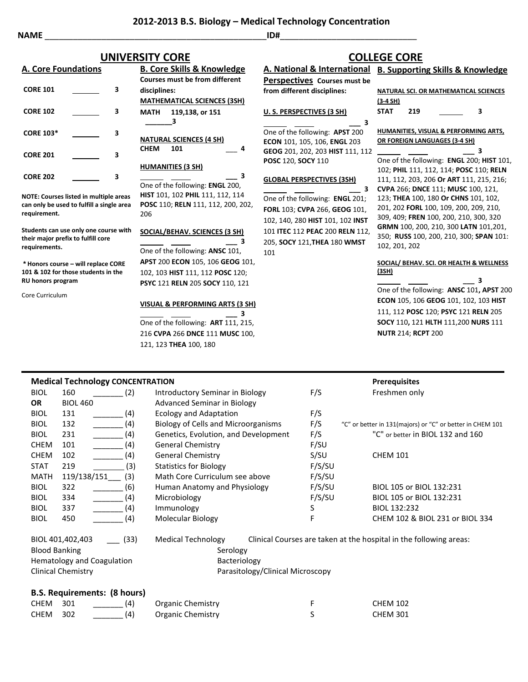**NAME** \_\_\_\_\_\_\_\_\_\_\_\_\_\_\_\_\_\_\_\_\_\_\_\_\_\_\_\_\_\_\_\_\_\_\_\_\_\_\_\_\_\_\_\_\_\_\_**ID#**\_\_\_\_\_\_\_\_\_\_\_\_\_\_\_\_\_\_\_\_\_\_\_\_\_\_\_\_\_

206

## **A. Core Foundations**

| <b>CORE 101</b>  | 3 |
|------------------|---|
| <b>CORE 102</b>  | 3 |
| <b>CORE 103*</b> | 3 |
| <b>CORE 201</b>  | 3 |
| <b>CORE 202</b>  |   |

**NOTE: Courses listed in multiple areas can only be used to fulfill a single area requirement.**

**Students can use only one course with their major prefix to fulfill core requirements.**

**\* Honors course – will replace CORE 101 & 102 for those students in the RU honors program**

Core Curriculum

**B. Core Skills & Knowledge Courses must be from different disciplines: MATHEMATICAL SCIENCES (3SH) MATH 119,138, or 151 \_\_\_\_\_\_\_3 NATURAL SCIENCES (4 SH) CHEM 101** \_\_\_ **4 HUMANITIES (3 SH) \_\_\_ 3** One of the following: **ENGL** 200, **HIST** 101, 102 **PHIL** 111, 112, 114 **POSC** 110; **RELN** 111, 112, 200, 202,

## **SOCIAL/BEHAV. SCIENCES (3 SH)**

 **\_\_\_ 3** One of the following: **ANSC** 101, **APST** 200 **ECON** 105, 106 **GEOG** 101, 102, 103 **HIST** 111, 112 **POSC** 120; **PSYC** 121 **RELN** 205 **SOCY** 110, 121

### **VISUAL & PERFORMING ARTS (3 SH)**

 **\_\_\_ 3** One of the following: **ART** 111, 215, 216 **CVPA** 266 **DNCE** 111 **MUSC** 100, 121, 123 **THEA** 100, 180

## **A. National & International B. Supporting Skills & Knowledge Perspectives Courses must be UNIVERSITY CORE COLLEGE CORE**

**from different disciplines:**

## **U. S. PERSPECTIVES (3 SH)**

 **\_\_\_ 3** One of the following: **APST** 200 **ECON** 101, 105, 106, **ENGL** 203 **GEOG** 201, 202, 203 **HIST** 111, 112 **POSC** 120, **SOCY** 110

### **GLOBAL PERSPECTIVES (3SH)**

 **\_\_\_ 3** One of the following: **ENGL** 201; **FORL** 103; **CVPA** 266, **GEOG** 101, 102, 140, 280 **HIST** 101, 102 **INST** 101 **ITEC** 112 **PEAC** 200 **RELN** 112, 205, **SOCY** 121,**THEA** 180 **WMST** 101

|             |     | <b>D. SUPPOLITIE SKIIS &amp; NIJOWIEUSE</b>  |
|-------------|-----|----------------------------------------------|
|             |     |                                              |
|             |     | <b>NATURAL SCI. OR MATHEMATICAL SCIENCES</b> |
| $(3-4 SH)$  |     |                                              |
| <b>STAT</b> | 219 | з                                            |

**HUMANITIES, VISUAL & PERFORMING ARTS, OR FOREIGN LANGUAGES (3-4 SH)**

 **\_\_\_ 3** One of the following: **ENGL** 200; **HIST** 101, 102; **PHIL** 111, 112, 114; **POSC** 110; **RELN**  111, 112, 203, 206 **Or ART** 111, 215, 216; **CVPA** 266; **DNCE** 111; **MUSC** 100, 121, 123; **THEA** 100, 180 **Or CHNS** 101, 102, 201, 202 **FORL** 100, 109, 200, 209, 210, 309, 409; **FREN** 100, 200, 210, 300, 320 **GRMN** 100, 200, 210, 300 **LATN** 101,201, 350; **RUSS** 100, 200, 210, 300; **SPAN** 101: 102, 201, 202

#### **SOCIAL/ BEHAV. SCI. OR HEALTH & WELLNESS (3SH)**

 **\_\_\_ 3** One of the following: **ANSC** 101**, APST** 200 **ECON** 105, 106 **GEOG** 101, 102, 103 **HIST** 111, 112 **POSC** 120; **PSYC** 121 **RELN** 205 **SOCY** 110**,** 121 **HLTH** 111,200 **NURS** 111 **NUTR** 214; **RCPT** 200

|                                                                                                                                                                                                          | <b>Medical Technology CONCENTRATION</b> |                                      |        | <b>Prerequisites</b>                                               |
|----------------------------------------------------------------------------------------------------------------------------------------------------------------------------------------------------------|-----------------------------------------|--------------------------------------|--------|--------------------------------------------------------------------|
| <b>BIOL</b>                                                                                                                                                                                              | 160<br>(2)                              | Introductory Seminar in Biology      | F/S    | Freshmen only                                                      |
| <b>OR</b>                                                                                                                                                                                                | <b>BIOL 460</b>                         | <b>Advanced Seminar in Biology</b>   |        |                                                                    |
| <b>BIOL</b>                                                                                                                                                                                              | 131<br>(4)                              | <b>Ecology and Adaptation</b>        | F/S    |                                                                    |
| <b>BIOL</b>                                                                                                                                                                                              | 132<br>(4)                              | Biology of Cells and Microorganisms  | F/S    | "C" or better in 131(majors) or "C" or better in CHEM 101          |
| <b>BIOL</b>                                                                                                                                                                                              | (4)<br>231                              | Genetics, Evolution, and Development | F/S    | "C" or better in BIOL 132 and 160                                  |
| <b>CHEM</b>                                                                                                                                                                                              | (4)<br>101                              | <b>General Chemistry</b>             | F/SU   |                                                                    |
| <b>CHEM</b>                                                                                                                                                                                              | (4)<br>102                              | <b>General Chemistry</b>             | S/SU   | <b>CHEM 101</b>                                                    |
| <b>STAT</b>                                                                                                                                                                                              | 219<br>(3)                              | <b>Statistics for Biology</b>        | F/S/SU |                                                                    |
| <b>MATH</b>                                                                                                                                                                                              | 119/138/151<br>(3)                      | Math Core Curriculum see above       | F/S/SU |                                                                    |
| <b>BIOL</b>                                                                                                                                                                                              | 322<br>(6)                              | Human Anatomy and Physiology         | F/S/SU | BIOL 105 or BIOL 132:231                                           |
| <b>BIOL</b>                                                                                                                                                                                              | (4)<br>334                              | Microbiology                         | F/S/SU | BIOL 105 or BIOL 132:231                                           |
| <b>BIOL</b>                                                                                                                                                                                              | 337<br>(4)                              | Immunology                           | S      | BIOL 132:232                                                       |
| <b>BIOL</b>                                                                                                                                                                                              | 450<br>(4)                              | Molecular Biology                    | F      | CHEM 102 & BIOL 231 or BIOL 334                                    |
| <b>Medical Technology</b><br>BIOL 401,402,403<br>(33)<br><b>Blood Banking</b><br>Serology<br>Hematology and Coagulation<br>Bacteriology<br><b>Clinical Chemistry</b><br>Parasitology/Clinical Microscopy |                                         |                                      |        | Clinical Courses are taken at the hospital in the following areas: |
|                                                                                                                                                                                                          | <b>B.S. Requirements: (8 hours)</b>     |                                      |        |                                                                    |

## CHEM 301 \_\_\_\_\_\_\_ (4) Organic Chemistry F CHEM 102 CHEM 302 (4) Organic Chemistry S S CHEM 301